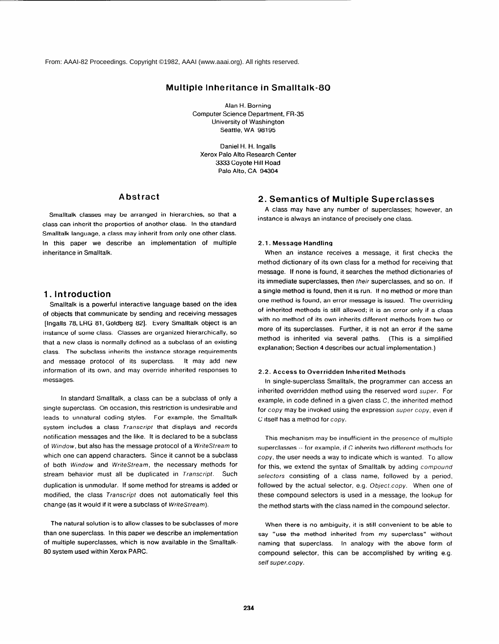From: AAAI-82 Proceedings. Copyright ©1982, AAAI (www.aaai.org). All rights reserved.

# **Multiple Inheritance in Smalltalk-**

**Alan H. Borning Computer Science Department, FR-35 University of Washington Seattle, WA 98195** 

**Daniel H. H. lngalls Xerox Palo Alto Research Center 3333 Coyote Hill Road Palo Alto, CA 94304** 

# **Abstract**

**Smalltalk classes may be arranged in hierarchies, so that a class can inherit the properties of another class. In the standard Smalltalk language, a class may inherit from only one other class. In this paper we describe an implementation of multiple inheritance in Smalltalk.** 

# **1. Introduction**

**Smalltalk is a powerful interactive language based on the idea of objects that communicate by sending and receiving messages [Ingalls 78, LRG 81, Goldberg 821. Every Smalltalk object is an instance of some class. Classes are organized hierarchically, so that a new class is normally defined as a subclass of an existing class. The subclass inherits the instance storage requirements and message protocol of its superclass. It may add new information of its own, and may override inherited responses to messages.** 

**In standard Smalltalk, a class can be a subclass of only a single superclass. On occasion, this restriction is undesirable and leads to unnatural coding styles. For example, the Smalltalk system includes a class** *Transcript* **that displays and records notification messages and the like. It is declared to be a subclass of Window, but also has the message protocol of a WriteStream to which one can append characters. Since it cannot be a subclass of both** *Window* **and** *WriteStream,* **the necessary methods for stream behavior must all be duplicated in** *Transcript.* **Such duplication is unmodular. If some method for streams is added or modified, the class** *Transcript* **does not automatically feel this change (as it would if it were a subclass of** *WriteStream).* 

**The natural solution is to allow classes to be subclasses of more than one superclass. In this paper we describe an implementation of multiple superclasses, which is now available in the Smalltalk-80 system used within Xerox PARC.** 

# **2. Semantics of Multiple Superclasses**

**A class may have any number of superclasses; however, an instance is always an instance of precisely one class.** 

## **2.1. Message Handling**

**When an instance receives a message, it first checks the method dictionary of its own class for a method for receiving that message. If none is found, it searches the method dictionaries of its immediate superclasses, then their superclasses, and so on. If a single method is found, then it is run. If no method or more than one method is found, an error message is issued. The overriding of inherited methods is still allowed; it is an error only if a class with no method of its own inherits different methods from two or more of its superclasses. Further, it is not an error if the same method is inherited via several paths. (This is a simplified explanation; Section 4 describes our actual implementation.)** 

#### **2.2. Access to Overridden Inherited Methods**

**In single-superclass Smalltalk, the programmer can access an inherited overridden method using the reserved word super. For example, in code defined in a given class C, the inherited method for** *copy* **may be invoked using the expression** *super copy,* **even if C itself has a method for** *copy.* 

**This mechanism may be insufficient in the presence of multiple superclasses -- for example, if C inherits two different methods for**  *copy,* **the user needs a way to indicate which is wanted. To allow for this, we extend the syntax of Smalltalk by adding** *compound selectors* **consisting of a class name, followed by a period, followed by the actual selector, e.g.** *Object.copy.* **When one of these compound selectors is used in a message, the lookup for the method starts with the class named in the compound selector.** 

**When there is no ambiguity, it is still convenient to be able to say "use the method inherited from my superclass" without naming that superclass. In analogy with the above form of compound selector, this can be accomplished by writing e.g.**  *self super.copy.*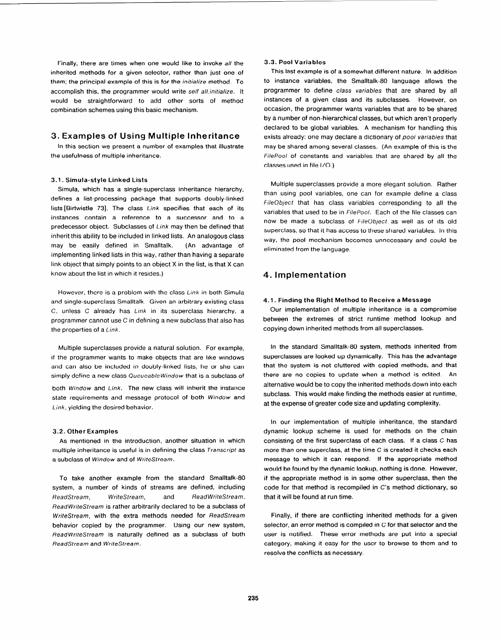**Finally, there are times when one would like to invoke** *all* **the inherited methods for a given selector, rather than just one of them; the principal example of this is for the** *initialize* **method. To accomplish this, the programmer would write** *self a//.initia/ize.* **It would be straightforward to add other sorts of method combination schemes using this basic mechanism.** 

## **3. Examples of Using Multiple Inheritance**

**In this section we present a number of examples that illustrate the usefulness of multiple inheritance.** 

#### **3.1. Simula-style Linked Lists**

**Simula, which has a single-superclass inheritance hierarchy, defines a list-processing package that supports doubly-linked lists [Birtwistle 731. The class** *Link* **specifies that each of its instances contain a reference to a successor and to a predecessor object. Subclasses of** *Link* **may then be defined that inherit this ability to be included in linked lists. An analogous class may be easily defined in Smalltalk. (An advantage of implementing linked lists in this way, rather than having a separate link object that simply points to an object X in the list, is that X can know about the list in which it resides.)** 

**However, there is a problem with the class** *Link* **in both Simula and single-superclass Smalltalk. Given an arbitrary existing class C, unless C already has** *Link* **in its superclass hierarchy, a programmer cannot use C in defining a new subclass that also has the properties of a** *Link.* 

**Multiple superclasses provide a natural solution. For example, if the programmer wants to make objects that are like windows**  and can also be included in doubly-linked lists, he or she can **simply define a new class** *Queueable Window* **that is a subclass of both** *Window* **and** *Link.* **The new class will inherit the instance state requirements and message protocol of both** *Window* **and** 

*Link,* **yielding the desired behavior.** 

**3.2. Other Examples**  multiple inheritance is useful is in defining the class **Transcript** as a subclass of Window and of WriteStream.

To take another example from the standard Smalltalk-80<br>system, a number of kinds of streams are defined, including ReadStream, WriteStream, and ReadWriteStream, *ReadWriteStream is rather arbitrarily declared to be a subclass of WriteStream, with the extra methods needed for ReadStream behavior copied by the programmer. Using our new system,* ReadWriteStream is naturally defined as a subclass of both  $ReadStream$  and WriteStream.

#### **3.3. Pool Variables**

**This last example is of a somewhat different nature. In addition**  to instance variables, the Smalltalk-80 language allows the **programmer to define** *class variables* **that are shared by all instances of a given class and its subclasses. However, on occasion, the programmer wants variables that are to be shared by a number of non-hierarchical classes, but which aren't properly declared to be global variables. A mechanism for handling this exists already: one may declare a dictionary of** *pool variables* **that may be shared among several classes. (An example of this is the**  *FilePool* **of constants and variables that are shared by all the classes used in file I/O.)** 

**Multiple superclasses provide a more elegant solution. Rather than using pool variables, one can for example define a class**  *FileOblect* **that has class variables corresponding to all the variables that used to be in** *FilePool.* **Each of the file classes can now be made a subclass of** *FileObjecf* **as well as of its old superclass, so that it has access to these shared variables. In this way, the pool mechanism becomes unnecessary and could be eliminated from the language.** 

# **4. Implementation**

#### **4.1. Finding the Right Method to Receive a Message**

**Our implementation of multiple inheritance is a compromise between the extremes of strict runtime method lookup and copying down inherited methods from all superclasses.** 

In the standard Smalltalk-80 system, methods inherited from **superclasses are looked up dynamically. This has the advantage that the system is not cluttered with copied methods, and that there are no copies to update when a method is edited. An alternative would be to copy the inherited methods down into each subclass. This would make finding the methods easier at runtime, at the expense of greater code size and updating complexity.** 

**In our implementation of multiple inheritance, the standard**  consisting of the first superclass of each class. If a class C has more than one superclass, at the time C is created it checks each message to which it can respond. If the appropriate method would be found by the dynamic lookup, nothing is done. However, if the appropriate method is in some other superclass, then the code for that method is recompiled in C's method dictionary, so that it will be found at run time.

**Finally, if there are conflicting inherited methods for a given**  user is notified. These error methods are put into a special category, making it easy for the user to browse to them and to resolve the conflicts as necessary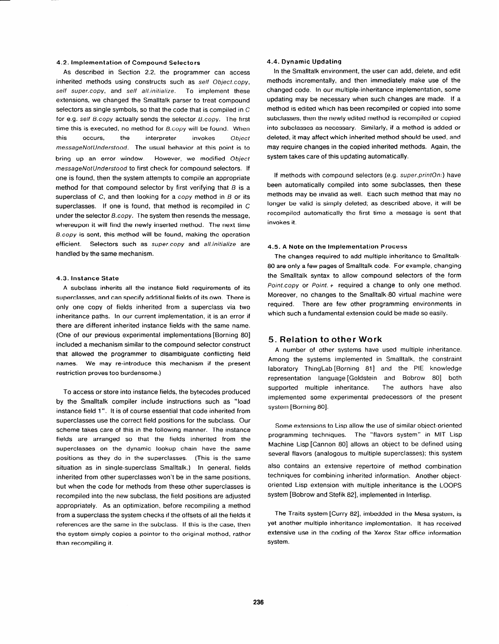### **4.2. Implementation of Compound Selectors**

**As described in Section 2.2, the programmer can access**  inherited methods using constructs such as self Object.copy, *self super.copy,* **and** *self all.inifialize.* **To implement these extensions, we changed the Smalltalk parser to treat compound selectors as single symbols, so that the code that is compiled in C for e.g.** *self B.copy* **actually sends the selector** *&copy.* **The first time this is executed, no method for** *B.copy* **will be found. When this occurs, the interpreter invokes** *Object messageNotUnderstood.* **The usual behavior at this point is to bring up an error window. However, we modified** *Object messageNofUndersfood* **to first check for compound selectors. If one is found, then the system attempts to compile an appropriate**  method for that compound selector by first verifying that  $B$  is a **superclass of C, and then looking for a** *copy* **method in B or its superclasses. If one is found, that method is recompiled in C under the selector** *B.copy.* **The system then resends the message, whereupon it will find the newly inserted method. The next time**  *&copy* **is sent, this method will be found, making the operation efficient. Selectors such as** *super.copy* **and** *alLinitialize* **are handled by the same mechanism.** 

#### **4.3. Instance State**

**A subclass inherits all the instance field requirements of its superclasses, and can specify additional fields of its own. There is only one copy of fields inherited from a superclass via two inheritance paths. In our current implementation, it is an error if there are different inherited instance fields with the same name. (One of our previous experimental implementations [Borning 801 included a mechanism similar to the compound selector construct that allowed the programmer to disambiguate conflicting field names. We may re-introduce this mechanism if the present restriction proves too burdensome.)** 

**To access or store into instance fields, the bytecodes produced by the Smalltalk compiler include instructions such as "load instance field 1". It is of course essential that code inherited from superclasses use the correct field positions for the subclass. Our scheme takes care of this in the following manner. The instance fields are arranged so that the fields inherited from the superclasses on the dynamic lookup chain have the same positions as they do in the superclasses. (This is the same situation as in single-superclass Smalltalk.) In general, fields inherited from other superclasses won't be in the same positions, but when the code for methods from these other superclasses is recompiled into the new subclass, the field positions are adjusted appropriately. As an optimization, before recompiling a method from a superclass the system checks if the offsets of all the fields it references are the same in the subclass. If this is the case, then the system simply copies a pointer to the original method, rather than recompiling it.** 

#### **4.4. Dynamic Updating**

**In the Smalltalk environment, the user can add, delete, and edit methods incrementally, and then immediately make use of the changed code. In our multiple-inheritance implementation, some updating may be necessary when such changes are made. If a method is edited which has been recompiled or copied into some subclasses, then the newly edited method is recompiled or copied into subclasses as necessary. Similarly, if a method is added or deleted, it may affect which inherited method should be used, and may require changes in the copied inherited methods. Again, the system takes care of this updating automatically.** 

**If methods with compound selectors** *(e.g. super.prinfOn:)* **have been automatically compiled into some subclasses, then these methods may be invalid as well. Each such method that may no longer be valid is simply deleted; as described above, it will be recompiled automatically the first time a message is sent that invokes it.** 

#### **4.5. A Note on the Implementation Process**

**The changes required to add multiple inheritance to Smalltalk-80 are only a few pages of Smalltalk code. For example, changing the Smalltalk syntax to allow compound selectors of the form**  *Poinf.copy* **or** *Point.* **+ required a change to only one method.**  Moreover, no changes to the Smalltalk-80 virtual machine were **required. There are few other programming environments in which such a fundamental extension could be made so easily.** 

## **5. Relation to other Work**

**A number of other systems have used multiple inheritance. Among the systems implemented in Smalltalk, the constraint laboratory ThingLab [Borning 811 and the PIE knowledge representation language [Goldstein and Bobrow 801 both**  supported multiple inheritance. **implemented some experimental predecessors of the present system [Borning 801.** 

**Some extensions to Lisp allow the use of similar object-oriented programming techniques. The "flavors system" in MIT Lisp**  Machine Lisp [Cannon 80] allows an object to be defined using **several flavors (analogous to multiple superclasses); this system also contains an extensive repertoire of method combination** 

**techniques for combining inherited information. Another objectoriented Lisp extension with multiple inheritance is the LOOPS system [Bobrow and Stefik 821, implemented in Interlisp.** 

**The Traits system [Curry 821, imbedded in the Mesa system, is yet another multiple inheritance implementation. It has received extensive use in the coding of the Xerox Star office information system.**